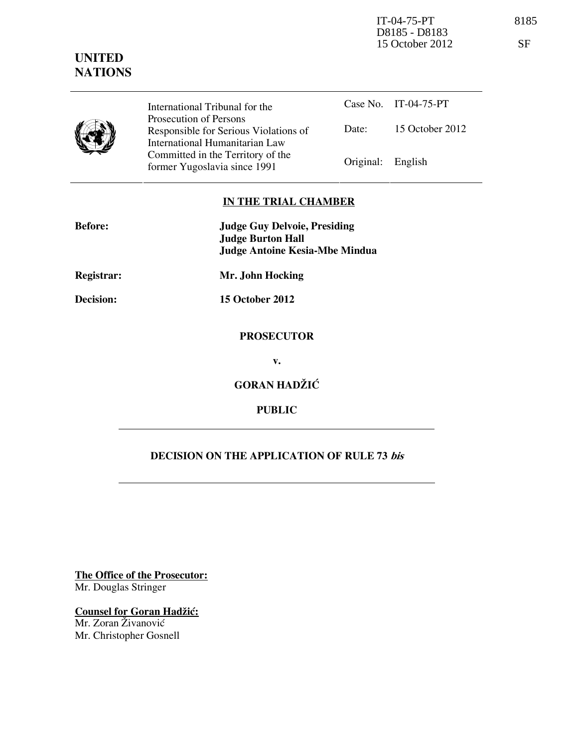IT-04-75-PT 8185 D8185 - D8183 15 October 2012 SF

## **UNITED NATIONS**

International Tribunal for the Prosecution of Persons Responsible for Serious Violations of International Humanitarian Law Committed in the Territory of the Former Yugoslavia since 1991 Original: English

Case No. IT-04-75-PT Date: 15 October 2012

## **IN THE TRIAL CHAMBER**

| <b>Before:</b>    | <b>Judge Guy Delvoie, Presiding</b>                               |
|-------------------|-------------------------------------------------------------------|
|                   | <b>Judge Burton Hall</b><br><b>Judge Antoine Kesia-Mbe Mindua</b> |
| <b>Registrar:</b> | Mr. John Hocking                                                  |
| Decision:         | <b>15 October 2012</b>                                            |
|                   | <b>PROSECUTOR</b>                                                 |
|                   | $V_{\bullet}$                                                     |
|                   | <b>GORAN HADŽIĆ</b>                                               |
|                   | <b>PUBLIC</b>                                                     |
|                   |                                                                   |

## **DECISION ON THE APPLICATION OF RULE 73 bis**

**The Office of the Prosecutor:** Mr. Douglas Stringer

**Counsel for Goran Hadžić:** Mr. Zoran Živanović Mr. Christopher Gosnell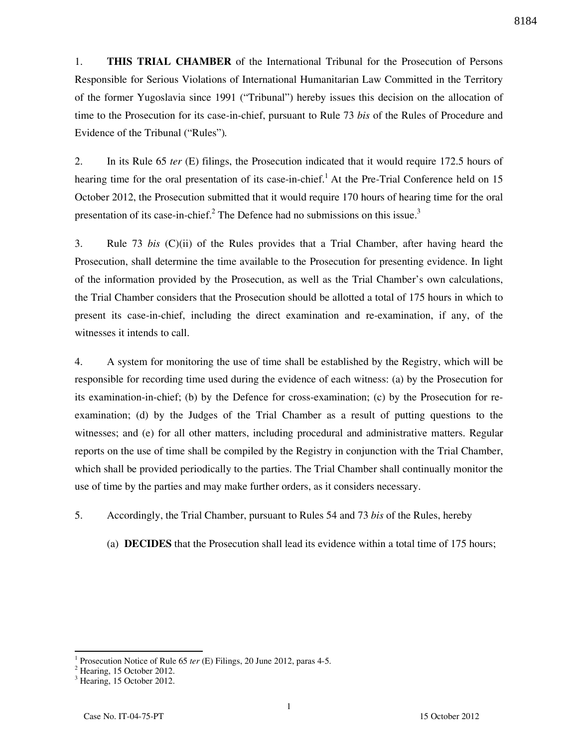1. **THIS TRIAL CHAMBER** of the International Tribunal for the Prosecution of Persons Responsible for Serious Violations of International Humanitarian Law Committed in the Territory of the former Yugoslavia since 1991 ("Tribunal") hereby issues this decision on the allocation of time to the Prosecution for its case-in-chief, pursuant to Rule 73 *bis* of the Rules of Procedure and Evidence of the Tribunal ("Rules")*.*

2. In its Rule 65 *ter* (E) filings, the Prosecution indicated that it would require 172.5 hours of hearing time for the oral presentation of its case-in-chief.<sup>1</sup> At the Pre-Trial Conference held on 15 October 2012, the Prosecution submitted that it would require 170 hours of hearing time for the oral presentation of its case-in-chief.<sup>2</sup> The Defence had no submissions on this issue.<sup>3</sup>

3. Rule 73 *bis* (C)(ii) of the Rules provides that a Trial Chamber, after having heard the Prosecution, shall determine the time available to the Prosecution for presenting evidence. In light of the information provided by the Prosecution, as well as the Trial Chamber's own calculations, the Trial Chamber considers that the Prosecution should be allotted a total of 175 hours in which to present its case-in-chief, including the direct examination and re-examination, if any, of the witnesses it intends to call.

4. A system for monitoring the use of time shall be established by the Registry, which will be responsible for recording time used during the evidence of each witness: (a) by the Prosecution for its examination-in-chief; (b) by the Defence for cross-examination; (c) by the Prosecution for reexamination; (d) by the Judges of the Trial Chamber as a result of putting questions to the witnesses; and (e) for all other matters, including procedural and administrative matters. Regular reports on the use of time shall be compiled by the Registry in conjunction with the Trial Chamber, which shall be provided periodically to the parties. The Trial Chamber shall continually monitor the use of time by the parties and may make further orders, as it considers necessary.

5. Accordingly, the Trial Chamber, pursuant to Rules 54 and 73 *bis* of the Rules, hereby

(a) **DECIDES** that the Prosecution shall lead its evidence within a total time of 175 hours;

 $\overline{a}$ 

<sup>1</sup> Prosecution Notice of Rule 65 *ter* (E) Filings, 20 June 2012, paras 4-5.

<sup>&</sup>lt;sup>2</sup> Hearing, 15 October 2012.

<sup>3</sup> Hearing, 15 October 2012.